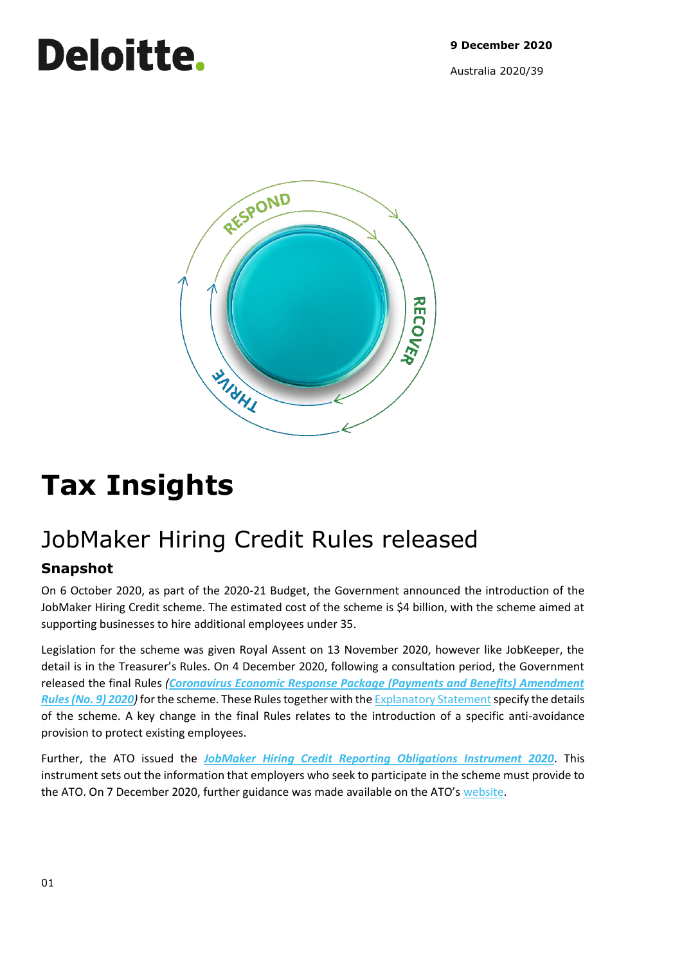#### **9 December 2020**

Australia 2020/39

# **Deloitte.**



## **Tax Insights**

## JobMaker Hiring Credit Rules released

## **Snapshot**

On 6 October 2020, as part of the 2020-21 Budget, the Government announced the introduction of the JobMaker Hiring Credit scheme. The estimated cost of the scheme is \$4 billion, with the scheme aimed at supporting businesses to hire additional employees under 35.

Legislation for the scheme was given Royal Assent on 13 November 2020, however like JobKeeper, the detail is in the Treasurer's Rules. On 4 December 2020, following a consultation period, the Government released the final Rules *([Coronavirus Economic Response Package \(Payments and Benefits\) Amendment](https://www.legislation.gov.au/Details/F2020L01534)  [Rules \(No. 9\) 2020](https://www.legislation.gov.au/Details/F2020L01534))* for the scheme. These Rules together with the Explanatory Statement specify the details of the scheme. A key change in the final Rules relates to the introduction of a specific anti-avoidance provision to protect existing employees.

Further, the ATO issued the *[JobMaker Hiring Credit Reporting Obligations Instrument 2020](https://www.legislation.gov.au/Details/F2020L01535)*. This instrument sets out the information that employers who seek to participate in the scheme must provide to the ATO. On 7 December 2020, further guidance was made available on the ATO's [website.](https://www.ato.gov.au/General/JobMaker-Hiring-Credit/)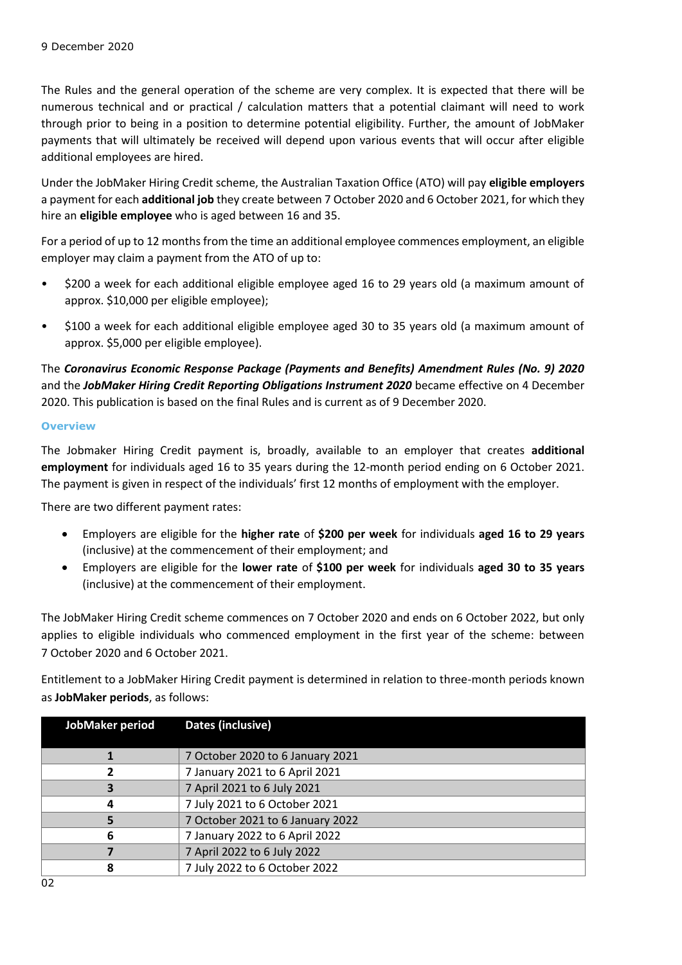The Rules and the general operation of the scheme are very complex. It is expected that there will be numerous technical and or practical / calculation matters that a potential claimant will need to work through prior to being in a position to determine potential eligibility. Further, the amount of JobMaker payments that will ultimately be received will depend upon various events that will occur after eligible additional employees are hired.

Under the JobMaker Hiring Credit scheme, the Australian Taxation Office (ATO) will pay **eligible employers** a payment for each **additional job** they create between 7 October 2020 and 6 October 2021, for which they hire an **eligible employee** who is aged between 16 and 35.

For a period of up to 12 months from the time an additional employee commences employment, an eligible employer may claim a payment from the ATO of up to:

- \$200 a week for each additional eligible employee aged 16 to 29 years old (a maximum amount of approx. \$10,000 per eligible employee);
- \$100 a week for each additional eligible employee aged 30 to 35 years old (a maximum amount of approx. \$5,000 per eligible employee).

The *Coronavirus Economic Response Package (Payments and Benefits) Amendment Rules (No. 9) 2020*  and the *JobMaker Hiring Credit Reporting Obligations Instrument 2020* became effective on 4 December 2020. This publication is based on the final Rules and is current as of 9 December 2020.

#### **Overview**

The Jobmaker Hiring Credit payment is, broadly, available to an employer that creates **additional employment** for individuals aged 16 to 35 years during the 12-month period ending on 6 October 2021. The payment is given in respect of the individuals' first 12 months of employment with the employer.

There are two different payment rates:

- Employers are eligible for the **higher rate** of **\$200 per week** for individuals **aged 16 to 29 years** (inclusive) at the commencement of their employment; and
- Employers are eligible for the **lower rate** of **\$100 per week** for individuals **aged 30 to 35 years**  (inclusive) at the commencement of their employment.

The JobMaker Hiring Credit scheme commences on 7 October 2020 and ends on 6 October 2022, but only applies to eligible individuals who commenced employment in the first year of the scheme: between 7 October 2020 and 6 October 2021.

Entitlement to a JobMaker Hiring Credit payment is determined in relation to three-month periods known as **JobMaker periods**, as follows:

| JobMaker period                  | Dates (inclusive)                |  |
|----------------------------------|----------------------------------|--|
|                                  |                                  |  |
|                                  | 7 October 2020 to 6 January 2021 |  |
|                                  | 7 January 2021 to 6 April 2021   |  |
|                                  | 7 April 2021 to 6 July 2021      |  |
|                                  | 7 July 2021 to 6 October 2021    |  |
| 7 October 2021 to 6 January 2022 |                                  |  |
| 6                                | 7 January 2022 to 6 April 2022   |  |
|                                  | 7 April 2022 to 6 July 2022      |  |
|                                  | 7 July 2022 to 6 October 2022    |  |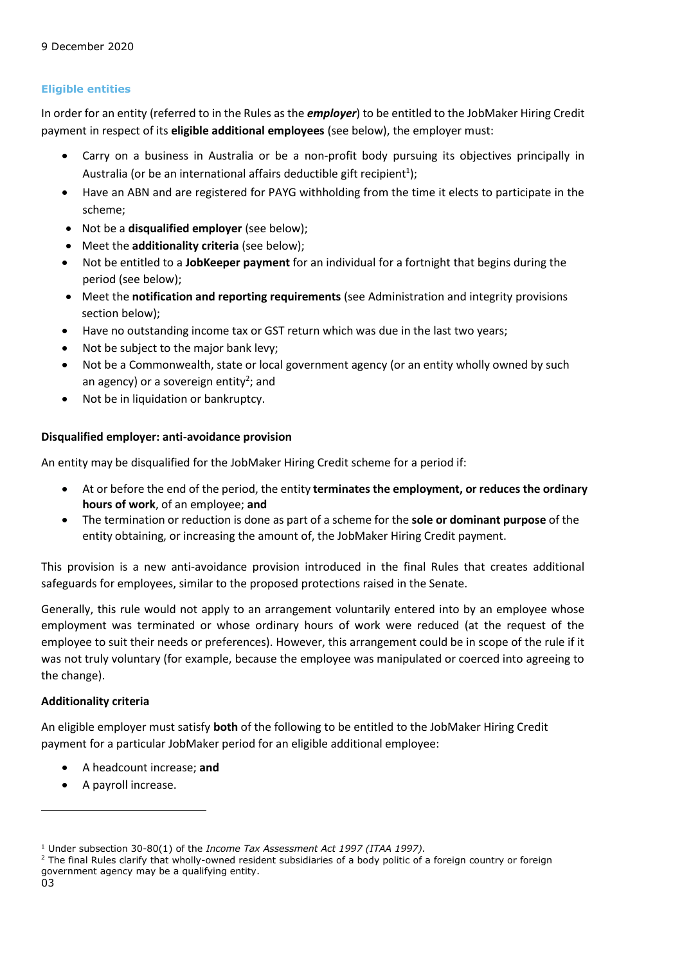## **Eligible entities**

In order for an entity (referred to in the Rules as the *employer*) to be entitled to the JobMaker Hiring Credit payment in respect of its **eligible additional employees** (see below), the employer must:

- Carry on a business in Australia or be a non-profit body pursuing its objectives principally in Australia (or be an international affairs deductible gift recipient<sup>1</sup>);
- Have an ABN and are registered for PAYG withholding from the time it elects to participate in the scheme;
- Not be a **disqualified employer** (see below);
- Meet the **additionality criteria** (see below);
- Not be entitled to a **JobKeeper payment** for an individual for a fortnight that begins during the period (see below);
- Meet the **notification and reporting requirements** (see Administration and integrity provisions section below);
- Have no outstanding income tax or GST return which was due in the last two years;
- Not be subject to the major bank levy;
- Not be a Commonwealth, state or local government agency (or an entity wholly owned by such an agency) or a sovereign entity<sup>2</sup>; and
- Not be in liquidation or bankruptcy.

## **Disqualified employer: anti-avoidance provision**

An entity may be disqualified for the JobMaker Hiring Credit scheme for a period if:

- At or before the end of the period, the entity **terminates the employment, or reduces the ordinary hours of work**, of an employee; **and**
- The termination or reduction is done as part of a scheme for the **sole or dominant purpose** of the entity obtaining, or increasing the amount of, the JobMaker Hiring Credit payment.

This provision is a new anti-avoidance provision introduced in the final Rules that creates additional safeguards for employees, similar to the proposed protections raised in the Senate.

Generally, this rule would not apply to an arrangement voluntarily entered into by an employee whose employment was terminated or whose ordinary hours of work were reduced (at the request of the employee to suit their needs or preferences). However, this arrangement could be in scope of the rule if it was not truly voluntary (for example, because the employee was manipulated or coerced into agreeing to the change).

## **Additionality criteria**

An eligible employer must satisfy **both** of the following to be entitled to the JobMaker Hiring Credit payment for a particular JobMaker period for an eligible additional employee:

- A headcount increase; **and**
- A payroll increase.

<sup>1</sup> Under subsection 30-80(1) of the *Income Tax Assessment Act 1997 (ITAA 1997).*

<sup>&</sup>lt;sup>2</sup> The final Rules clarify that wholly-owned resident subsidiaries of a body politic of a foreign country or foreign government agency may be a qualifying entity.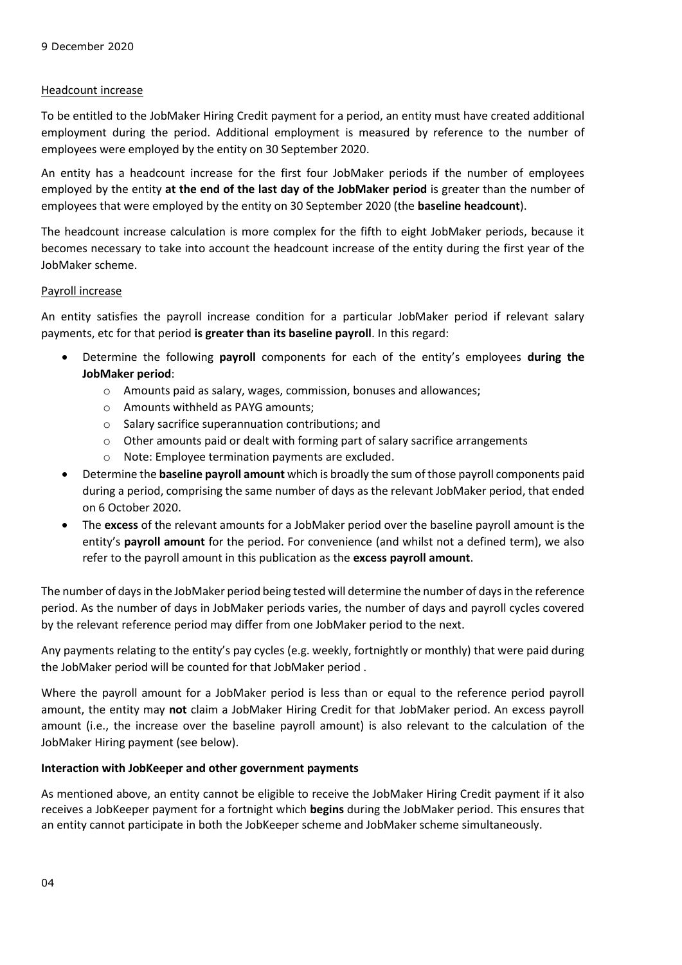#### Headcount increase

To be entitled to the JobMaker Hiring Credit payment for a period, an entity must have created additional employment during the period. Additional employment is measured by reference to the number of employees were employed by the entity on 30 September 2020.

An entity has a headcount increase for the first four JobMaker periods if the number of employees employed by the entity **at the end of the last day of the JobMaker period** is greater than the number of employees that were employed by the entity on 30 September 2020 (the **baseline headcount**).

The headcount increase calculation is more complex for the fifth to eight JobMaker periods, because it becomes necessary to take into account the headcount increase of the entity during the first year of the JobMaker scheme.

#### Payroll increase

An entity satisfies the payroll increase condition for a particular JobMaker period if relevant salary payments, etc for that period **is greater than its baseline payroll**. In this regard:

- Determine the following **payroll** components for each of the entity's employees **during the JobMaker period**:
	- o Amounts paid as salary, wages, commission, bonuses and allowances;
	- o Amounts withheld as PAYG amounts;
	- o Salary sacrifice superannuation contributions; and
	- $\circ$  Other amounts paid or dealt with forming part of salary sacrifice arrangements
	- o Note: Employee termination payments are excluded.
- Determine the **baseline payroll amount** which is broadly the sum of those payroll components paid during a period, comprising the same number of days as the relevant JobMaker period, that ended on 6 October 2020.
- The **excess** of the relevant amounts for a JobMaker period over the baseline payroll amount is the entity's **payroll amount** for the period. For convenience (and whilst not a defined term), we also refer to the payroll amount in this publication as the **excess payroll amount**.

The number of days in the JobMaker period being tested will determine the number of days in the reference period. As the number of days in JobMaker periods varies, the number of days and payroll cycles covered by the relevant reference period may differ from one JobMaker period to the next.

Any payments relating to the entity's pay cycles (e.g. weekly, fortnightly or monthly) that were paid during the JobMaker period will be counted for that JobMaker period .

Where the payroll amount for a JobMaker period is less than or equal to the reference period payroll amount, the entity may **not** claim a JobMaker Hiring Credit for that JobMaker period. An excess payroll amount (i.e., the increase over the baseline payroll amount) is also relevant to the calculation of the JobMaker Hiring payment (see below).

#### **Interaction with JobKeeper and other government payments**

As mentioned above, an entity cannot be eligible to receive the JobMaker Hiring Credit payment if it also receives a JobKeeper payment for a fortnight which **begins** during the JobMaker period. This ensures that an entity cannot participate in both the JobKeeper scheme and JobMaker scheme simultaneously.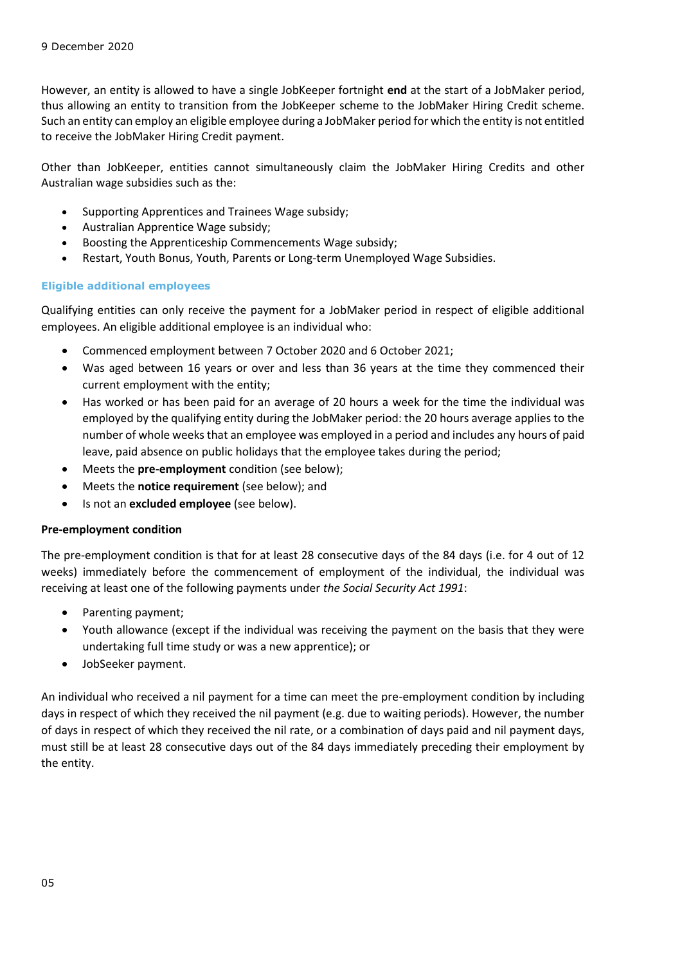However, an entity is allowed to have a single JobKeeper fortnight **end** at the start of a JobMaker period, thus allowing an entity to transition from the JobKeeper scheme to the JobMaker Hiring Credit scheme. Such an entity can employ an eligible employee during a JobMaker period for which the entity is not entitled to receive the JobMaker Hiring Credit payment.

Other than JobKeeper, entities cannot simultaneously claim the JobMaker Hiring Credits and other Australian wage subsidies such as the:

- Supporting Apprentices and Trainees Wage subsidy;
- Australian Apprentice Wage subsidy;
- Boosting the Apprenticeship Commencements Wage subsidy;
- Restart, Youth Bonus, Youth, Parents or Long-term Unemployed Wage Subsidies.

#### **Eligible additional employees**

Qualifying entities can only receive the payment for a JobMaker period in respect of eligible additional employees. An eligible additional employee is an individual who:

- Commenced employment between 7 October 2020 and 6 October 2021;
- Was aged between 16 years or over and less than 36 years at the time they commenced their current employment with the entity;
- Has worked or has been paid for an average of 20 hours a week for the time the individual was employed by the qualifying entity during the JobMaker period: the 20 hours average applies to the number of whole weeks that an employee was employed in a period and includes any hours of paid leave, paid absence on public holidays that the employee takes during the period;
- Meets the **pre-employment** condition (see below);
- Meets the **notice requirement** (see below); and
- Is not an **excluded employee** (see below).

#### **Pre-employment condition**

The pre-employment condition is that for at least 28 consecutive days of the 84 days (i.e. for 4 out of 12 weeks) immediately before the commencement of employment of the individual, the individual was receiving at least one of the following payments under *the Social Security Act 1991*:

- Parenting payment;
- Youth allowance (except if the individual was receiving the payment on the basis that they were undertaking full time study or was a new apprentice); or
- JobSeeker payment.

An individual who received a nil payment for a time can meet the pre-employment condition by including days in respect of which they received the nil payment (e.g. due to waiting periods). However, the number of days in respect of which they received the nil rate, or a combination of days paid and nil payment days, must still be at least 28 consecutive days out of the 84 days immediately preceding their employment by the entity.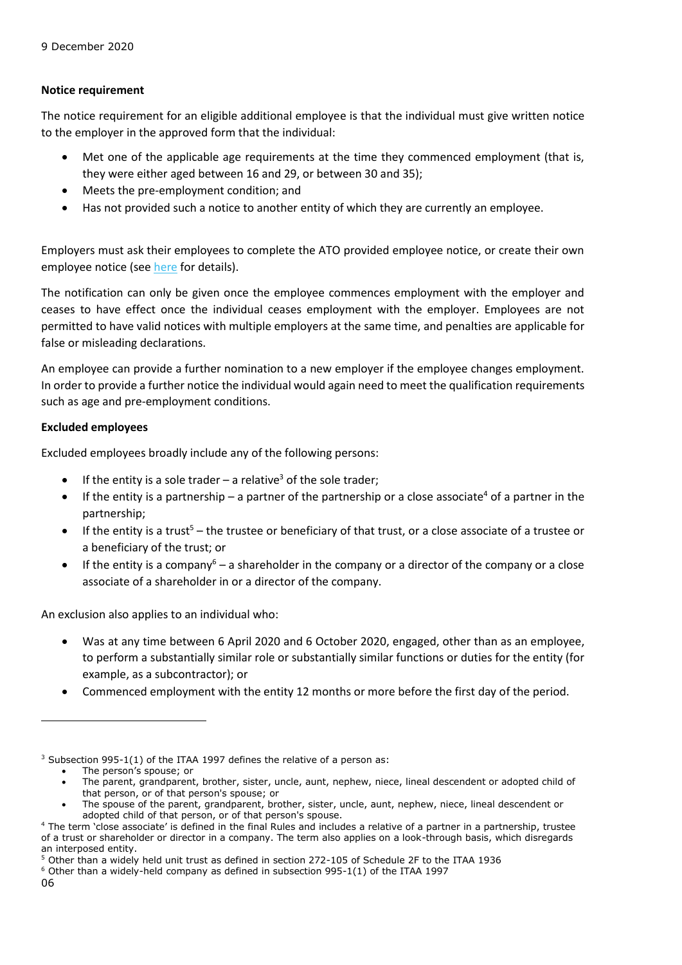#### **Notice requirement**

The notice requirement for an eligible additional employee is that the individual must give written notice to the employer in the approved form that the individual:

- Met one of the applicable age requirements at the time they commenced employment (that is, they were either aged between 16 and 29, or between 30 and 35);
- Meets the pre-employment condition; and
- Has not provided such a notice to another entity of which they are currently an employee.

Employers must ask their employees to complete the ATO provided employee notice, or create their own employee notice (see [here](https://www.ato.gov.au/General/JobMaker-Hiring-Credit/Employee-notice/#JobMakeremployeenotices) for details).

The notification can only be given once the employee commences employment with the employer and ceases to have effect once the individual ceases employment with the employer. Employees are not permitted to have valid notices with multiple employers at the same time, and penalties are applicable for false or misleading declarations.

An employee can provide a further nomination to a new employer if the employee changes employment. In order to provide a further notice the individual would again need to meet the qualification requirements such as age and pre-employment conditions.

#### **Excluded employees**

Excluded employees broadly include any of the following persons:

- If the entity is a sole trader  $-$  a relative<sup>3</sup> of the sole trader;
- If the entity is a partnership a partner of the partnership or a close associate<sup>4</sup> of a partner in the partnership;
- If the entity is a trust<sup>5</sup> the trustee or beneficiary of that trust, or a close associate of a trustee or a beneficiary of the trust; or
- If the entity is a company<sup>6</sup> a shareholder in the company or a director of the company or a close associate of a shareholder in or a director of the company.

An exclusion also applies to an individual who:

- Was at any time between 6 April 2020 and 6 October 2020, engaged, other than as an employee, to perform a substantially similar role or substantially similar functions or duties for the entity (for example, as a subcontractor); or
- Commenced employment with the entity 12 months or more before the first day of the period.

 $3$  Subsection 995-1(1) of the ITAA 1997 defines the relative of a person as:

- The parent, grandparent, brother, sister, uncle, aunt, nephew, niece, lineal descendent or adopted child of that person, or of that person's spouse; or
- The spouse of the parent, grandparent, brother, sister, uncle, aunt, nephew, niece, lineal descendent or adopted child of that person, or of that person's spouse.

<sup>•</sup> The person's spouse; or

<sup>4</sup> The term 'close associate' is defined in the final Rules and includes a relative of a partner in a partnership, trustee of a trust or shareholder or director in a company. The term also applies on a look-through basis, which disregards an interposed entity.

<sup>5</sup> Other than a widely held unit trust as defined in section 272-105 of Schedule 2F to the ITAA 1936

 $6$  Other than a widely-held company as defined in subsection 995-1(1) of the ITAA 1997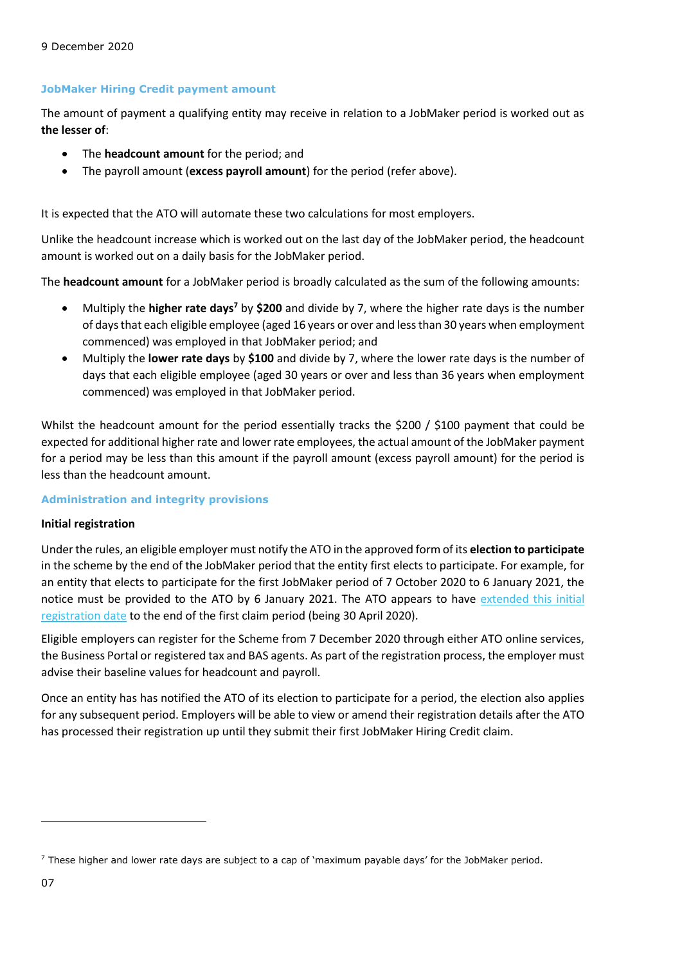#### **JobMaker Hiring Credit payment amount**

The amount of payment a qualifying entity may receive in relation to a JobMaker period is worked out as **the lesser of**:

- The **headcount amount** for the period; and
- The payroll amount (**excess payroll amount**) for the period (refer above).

It is expected that the ATO will automate these two calculations for most employers.

Unlike the headcount increase which is worked out on the last day of the JobMaker period, the headcount amount is worked out on a daily basis for the JobMaker period.

The **headcount amount** for a JobMaker period is broadly calculated as the sum of the following amounts:

- Multiply the **higher rate days<sup>7</sup>** by **\$200** and divide by 7, where the higher rate days is the number of days that each eligible employee (aged 16 years or over and less than 30 years when employment commenced) was employed in that JobMaker period; and
- Multiply the **lower rate days** by **\$100** and divide by 7, where the lower rate days is the number of days that each eligible employee (aged 30 years or over and less than 36 years when employment commenced) was employed in that JobMaker period.

Whilst the headcount amount for the period essentially tracks the \$200 / \$100 payment that could be expected for additional higher rate and lower rate employees, the actual amount of the JobMaker payment for a period may be less than this amount if the payroll amount (excess payroll amount) for the period is less than the headcount amount.

#### **Administration and integrity provisions**

#### **Initial registration**

Under the rules, an eligible employer must notify the ATO in the approved form of its **election to participate** in the scheme by the end of the JobMaker period that the entity first elects to participate. For example, for an entity that elects to participate for the first JobMaker period of 7 October 2020 to 6 January 2021, the notice must be provided to the ATO by 6 January 2021. The ATO appears to have [extended this initial](https://www.ato.gov.au/general/JobMaker-Hiring-Credit/Register-for-JobMaker-Hiring-Credit/)  [registration date](https://www.ato.gov.au/general/JobMaker-Hiring-Credit/Register-for-JobMaker-Hiring-Credit/) to the end of the first claim period (being 30 April 2020).

Eligible employers can register for the Scheme from 7 December 2020 through either ATO online services, the Business Portal or registered tax and BAS agents. As part of the registration process, the employer must advise their baseline values for headcount and payroll.

Once an entity has has notified the ATO of its election to participate for a period, the election also applies for any subsequent period. Employers will be able to view or amend their registration details after the ATO has processed their registration up until they submit their first JobMaker Hiring Credit claim.

<sup>&</sup>lt;sup>7</sup> These higher and lower rate days are subject to a cap of 'maximum payable days' for the JobMaker period.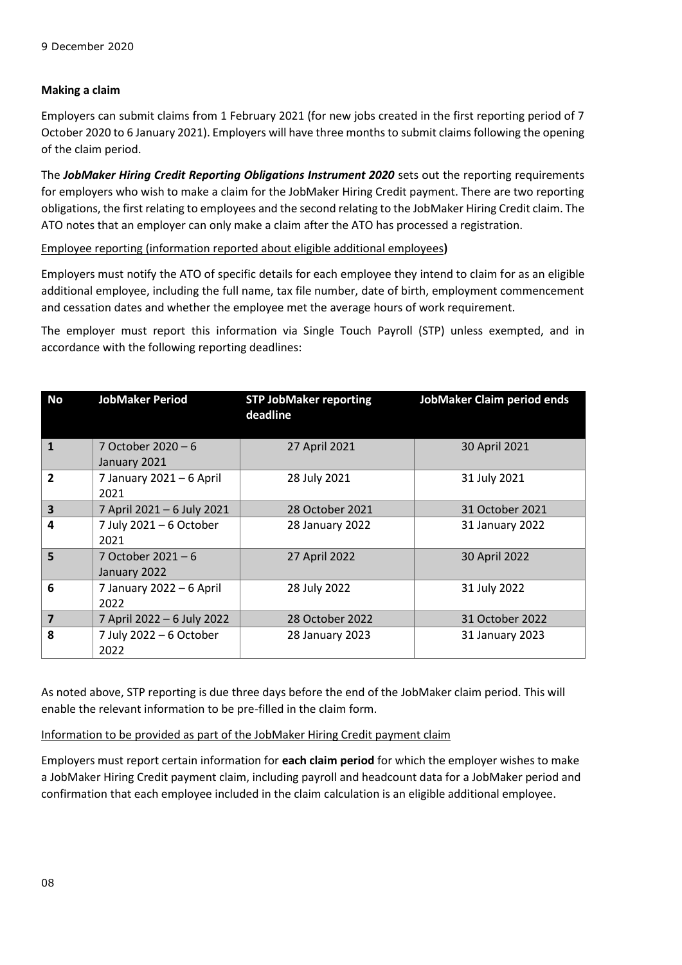## **Making a claim**

Employers can submit claims from 1 February 2021 (for new jobs created in the first reporting period of 7 October 2020 to 6 January 2021). Employers will have three months to submit claims following the opening of the claim period.

The *JobMaker Hiring Credit Reporting Obligations Instrument 2020* sets out the reporting requirements for employers who wish to make a claim for the JobMaker Hiring Credit payment. There are two reporting obligations, the first relating to employees and the second relating to the JobMaker Hiring Credit claim. The ATO notes that an employer can only make a claim after the ATO has processed a registration.

Employee reporting (information reported about eligible additional employees**)**

Employers must notify the ATO of specific details for each employee they intend to claim for as an eligible additional employee, including the full name, tax file number, date of birth, employment commencement and cessation dates and whether the employee met the average hours of work requirement.

The employer must report this information via Single Touch Payroll (STP) unless exempted, and in accordance with the following reporting deadlines:

| No                      | <b>JobMaker Period</b>              | <b>STP JobMaker reporting</b><br>deadline | <b>JobMaker Claim period ends</b> |
|-------------------------|-------------------------------------|-------------------------------------------|-----------------------------------|
| $\mathbf{1}$            | 7 October 2020 – 6<br>January 2021  | 27 April 2021                             | 30 April 2021                     |
| $\overline{2}$          | 7 January 2021 - 6 April<br>2021    | 28 July 2021                              | 31 July 2021                      |
| $\overline{3}$          | 7 April 2021 - 6 July 2021          | 28 October 2021                           | 31 October 2021                   |
| 4                       | 7 July 2021 - 6 October<br>2021     | 28 January 2022                           | 31 January 2022                   |
| 5                       | 7 October 2021 $-6$<br>January 2022 | 27 April 2022                             | 30 April 2022                     |
| 6                       | 7 January 2022 - 6 April<br>2022    | 28 July 2022                              | 31 July 2022                      |
| $\overline{\mathbf{z}}$ | 7 April 2022 - 6 July 2022          | 28 October 2022                           | 31 October 2022                   |
| 8                       | 7 July 2022 - 6 October<br>2022     | 28 January 2023                           | 31 January 2023                   |

As noted above, STP reporting is due three days before the end of the JobMaker claim period. This will enable the relevant information to be pre-filled in the claim form.

Information to be provided as part of the JobMaker Hiring Credit payment claim

Employers must report certain information for **each claim period** for which the employer wishes to make a JobMaker Hiring Credit payment claim, including payroll and headcount data for a JobMaker period and confirmation that each employee included in the claim calculation is an eligible additional employee.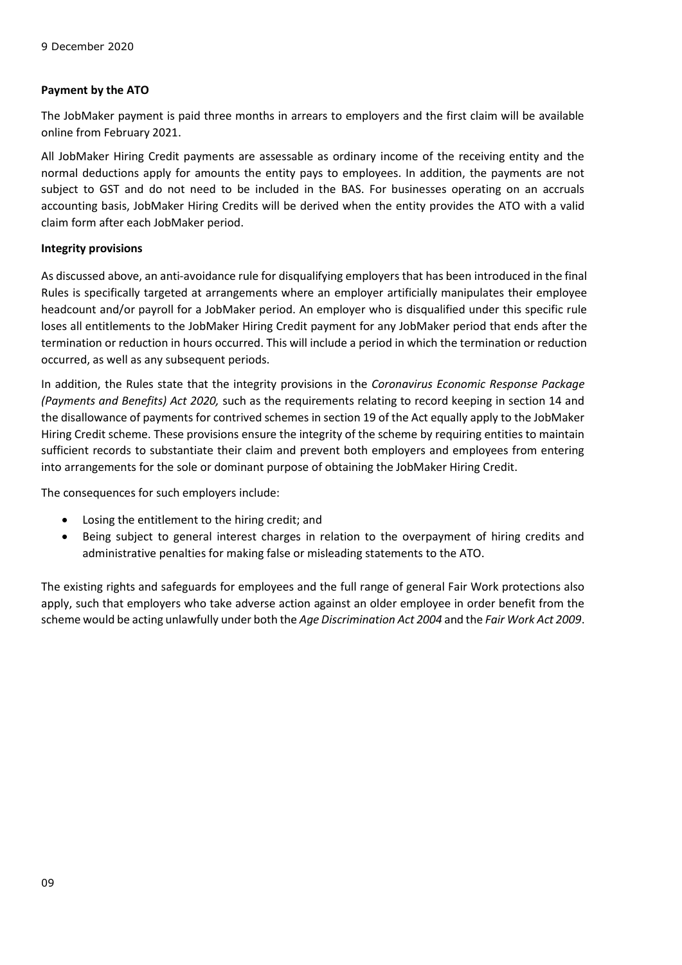#### **Payment by the ATO**

The JobMaker payment is paid three months in arrears to employers and the first claim will be available online from February 2021.

All JobMaker Hiring Credit payments are assessable as ordinary income of the receiving entity and the normal deductions apply for amounts the entity pays to employees. In addition, the payments are not subject to GST and do not need to be included in the BAS. For businesses operating on an accruals accounting basis, JobMaker Hiring Credits will be derived when the entity provides the ATO with a valid claim form after each JobMaker period.

#### **Integrity provisions**

As discussed above, an anti-avoidance rule for disqualifying employers that has been introduced in the final Rules is specifically targeted at arrangements where an employer artificially manipulates their employee headcount and/or payroll for a JobMaker period. An employer who is disqualified under this specific rule loses all entitlements to the JobMaker Hiring Credit payment for any JobMaker period that ends after the termination or reduction in hours occurred. This will include a period in which the termination or reduction occurred, as well as any subsequent periods.

In addition, the Rules state that the integrity provisions in the *Coronavirus Economic Response Package (Payments and Benefits) Act 2020,* such as the requirements relating to record keeping in section 14 and the disallowance of payments for contrived schemes in section 19 of the Act equally apply to the JobMaker Hiring Credit scheme. These provisions ensure the integrity of the scheme by requiring entities to maintain sufficient records to substantiate their claim and prevent both employers and employees from entering into arrangements for the sole or dominant purpose of obtaining the JobMaker Hiring Credit.

The consequences for such employers include:

- Losing the entitlement to the hiring credit; and
- Being subject to general interest charges in relation to the overpayment of hiring credits and administrative penalties for making false or misleading statements to the ATO.

The existing rights and safeguards for employees and the full range of general Fair Work protections also apply, such that employers who take adverse action against an older employee in order benefit from the scheme would be acting unlawfully under both the *Age Discrimination Act 2004* and the *Fair Work Act 2009*.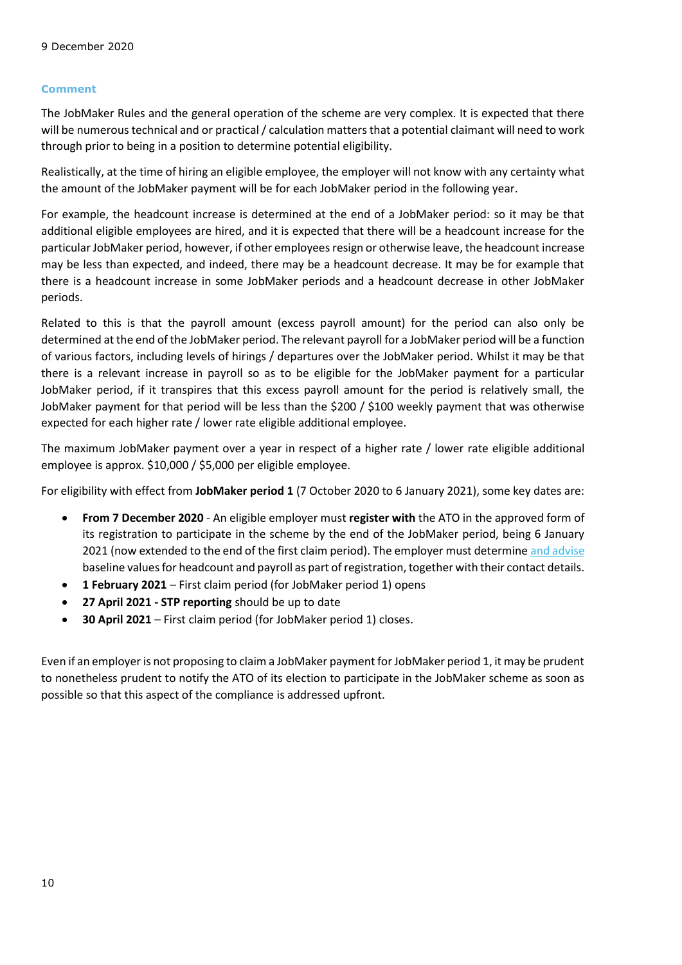#### **Comment**

The JobMaker Rules and the general operation of the scheme are very complex. It is expected that there will be numerous technical and or practical / calculation matters that a potential claimant will need to work through prior to being in a position to determine potential eligibility.

Realistically, at the time of hiring an eligible employee, the employer will not know with any certainty what the amount of the JobMaker payment will be for each JobMaker period in the following year.

For example, the headcount increase is determined at the end of a JobMaker period: so it may be that additional eligible employees are hired, and it is expected that there will be a headcount increase for the particular JobMaker period, however, if other employees resign or otherwise leave, the headcount increase may be less than expected, and indeed, there may be a headcount decrease. It may be for example that there is a headcount increase in some JobMaker periods and a headcount decrease in other JobMaker periods.

Related to this is that the payroll amount (excess payroll amount) for the period can also only be determined at the end of the JobMaker period. The relevant payroll for a JobMaker period will be a function of various factors, including levels of hirings / departures over the JobMaker period. Whilst it may be that there is a relevant increase in payroll so as to be eligible for the JobMaker payment for a particular JobMaker period, if it transpires that this excess payroll amount for the period is relatively small, the JobMaker payment for that period will be less than the \$200 / \$100 weekly payment that was otherwise expected for each higher rate / lower rate eligible additional employee.

The maximum JobMaker payment over a year in respect of a higher rate / lower rate eligible additional employee is approx. \$10,000 / \$5,000 per eligible employee.

For eligibility with effect from **JobMaker period 1** (7 October 2020 to 6 January 2021), some key dates are:

- **From 7 December 2020** An eligible employer must **register with** the ATO in the approved form of its registration to participate in the scheme by the end of the JobMaker period, being 6 January 2021 (now extended to the end of the first claim period). The employer must determine [and advise](https://www.ato.gov.au/general/JobMaker-Hiring-Credit/In-detail/JobMaker-Hiring-Credit-guide/?anchor=Registration#Registration) baseline values for headcount and payroll as part of registration, together with their contact details.
- **1 February 2021** First claim period (for JobMaker period 1) opens
- **27 April 2021 - STP reporting** should be up to date
- **30 April 2021** First claim period (for JobMaker period 1) closes.

Even if an employer is not proposing to claim a JobMaker payment for JobMaker period 1, it may be prudent to nonetheless prudent to notify the ATO of its election to participate in the JobMaker scheme as soon as possible so that this aspect of the compliance is addressed upfront.